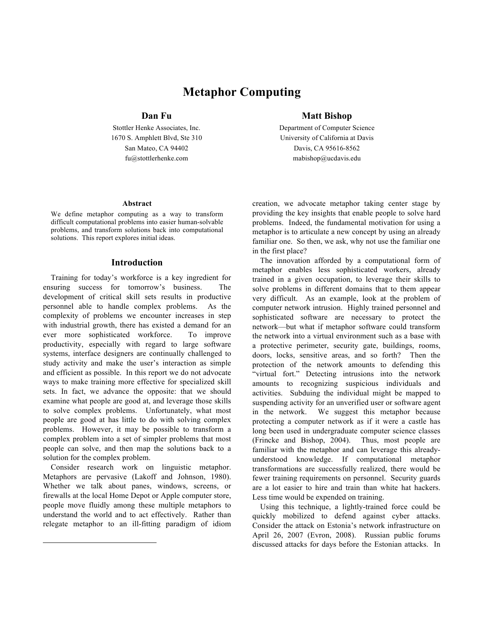# **Metaphor Computing**

#### **Abstract**

We define metaphor computing as a way to transform difficult computational problems into easier human-solvable problems, and transform solutions back into computational solutions. This report explores initial ideas.

#### **Introduction**

Training for today's workforce is a key ingredient for ensuring success for tomorrow's business. The development of critical skill sets results in productive personnel able to handle complex problems. As the complexity of problems we encounter increases in step with industrial growth, there has existed a demand for an ever more sophisticated workforce. To improve productivity, especially with regard to large software systems, interface designers are continually challenged to study activity and make the user's interaction as simple and efficient as possible. In this report we do not advocate ways to make training more effective for specialized skill sets. In fact, we advance the opposite: that we should examine what people are good at, and leverage those skills to solve complex problems. Unfortunately, what most people are good at has little to do with solving complex problems. However, it may be possible to transform a complex problem into a set of simpler problems that most people can solve, and then map the solutions back to a solution for the complex problem.

Consider research work on linguistic metaphor. Metaphors are pervasive (Lakoff and Johnson, 1980). Whether we talk about panes, windows, screens, or firewalls at the local Home Depot or Apple computer store, people move fluidly among these multiple metaphors to understand the world and to act effectively. Rather than relegate metaphor to an ill-fitting paradigm of idiom

1

## **Dan Fu Matt Bishop**

Stottler Henke Associates, Inc. Department of Computer Science 1670 S. Amphlett Blvd, Ste 310 University of California at Davis San Mateo, CA 94402 Davis, CA 95616-8562 fu@stottlerhenke.com mabishop@ucdavis.edu

> creation, we advocate metaphor taking center stage by providing the key insights that enable people to solve hard problems. Indeed, the fundamental motivation for using a metaphor is to articulate a new concept by using an already familiar one. So then, we ask, why not use the familiar one in the first place?

The innovation afforded by a computational form of metaphor enables less sophisticated workers, already trained in a given occupation, to leverage their skills to solve problems in different domains that to them appear very difficult. As an example, look at the problem of computer network intrusion. Highly trained personnel and sophisticated software are necessary to protect the network—but what if metaphor software could transform the network into a virtual environment such as a base with a protective perimeter, security gate, buildings, rooms, doors, locks, sensitive areas, and so forth? Then the protection of the network amounts to defending this "virtual fort." Detecting intrusions into the network amounts to recognizing suspicious individuals and activities. Subduing the individual might be mapped to suspending activity for an unverified user or software agent in the network. We suggest this metaphor because protecting a computer network as if it were a castle has long been used in undergraduate computer science classes (Frincke and Bishop, 2004). Thus, most people are familiar with the metaphor and can leverage this alreadyunderstood knowledge. If computational metaphor transformations are successfully realized, there would be fewer training requirements on personnel. Security guards are a lot easier to hire and train than white hat hackers. Less time would be expended on training.

Using this technique, a lightly-trained force could be quickly mobilized to defend against cyber attacks. Consider the attack on Estonia's network infrastructure on April 26, 2007 (Evron, 2008). Russian public forums discussed attacks for days before the Estonian attacks. In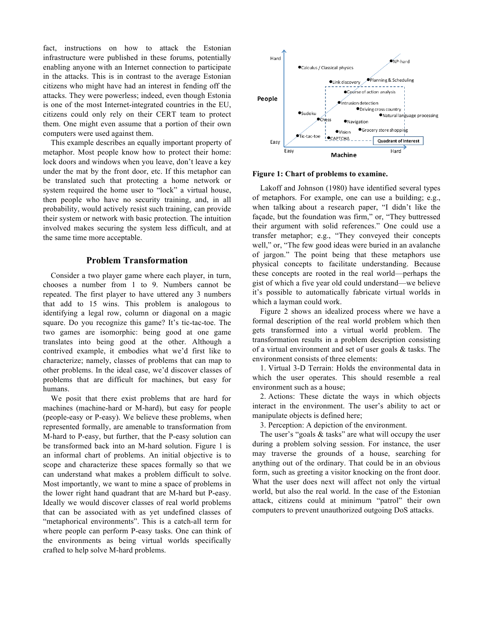fact, instructions on how to attack the Estonian infrastructure were published in these forums, potentially enabling anyone with an Internet connection to participate in the attacks. This is in contrast to the average Estonian citizens who might have had an interest in fending off the attacks. They were powerless; indeed, even though Estonia is one of the most Internet-integrated countries in the EU, citizens could only rely on their CERT team to protect them. One might even assume that a portion of their own computers were used against them.

This example describes an equally important property of metaphor. Most people know how to protect their home: lock doors and windows when you leave, don't leave a key under the mat by the front door, etc. If this metaphor can be translated such that protecting a home network or system required the home user to "lock" a virtual house, then people who have no security training, and, in all probability, would actively resist such training, can provide their system or network with basic protection. The intuition involved makes securing the system less difficult, and at the same time more acceptable.

### **Problem Transformation**

Consider a two player game where each player, in turn, chooses a number from 1 to 9. Numbers cannot be repeated. The first player to have uttered any 3 numbers that add to 15 wins. This problem is analogous to identifying a legal row, column or diagonal on a magic square. Do you recognize this game? It's tic-tac-toe. The two games are isomorphic: being good at one game translates into being good at the other. Although a contrived example, it embodies what we'd first like to characterize; namely, classes of problems that can map to other problems. In the ideal case, we'd discover classes of problems that are difficult for machines, but easy for humans.

We posit that there exist problems that are hard for machines (machine-hard or M-hard), but easy for people (people-easy or P-easy). We believe these problems, when represented formally, are amenable to transformation from M-hard to P-easy, but further, that the P-easy solution can be transformed back into an M-hard solution. Figure 1 is an informal chart of problems. An initial objective is to scope and characterize these spaces formally so that we can understand what makes a problem difficult to solve. Most importantly, we want to mine a space of problems in the lower right hand quadrant that are M-hard but P-easy. Ideally we would discover classes of real world problems that can be associated with as yet undefined classes of "metaphorical environments". This is a catch-all term for where people can perform P-easy tasks. One can think of the environments as being virtual worlds specifically crafted to help solve M-hard problems.



#### **Figure 1: Chart of problems to examine.**

Lakoff and Johnson (1980) have identified several types of metaphors. For example, one can use a building; e.g., when talking about a research paper, "I didn't like the façade, but the foundation was firm," or, "They buttressed their argument with solid references." One could use a transfer metaphor; e.g., "They conveyed their concepts well," or, "The few good ideas were buried in an avalanche of jargon." The point being that these metaphors use physical concepts to facilitate understanding. Because these concepts are rooted in the real world—perhaps the gist of which a five year old could understand—we believe it's possible to automatically fabricate virtual worlds in which a layman could work.

Figure 2 shows an idealized process where we have a formal description of the real world problem which then gets transformed into a virtual world problem. The transformation results in a problem description consisting of a virtual environment and set of user goals & tasks. The environment consists of three elements:

1. Virtual 3-D Terrain: Holds the environmental data in which the user operates. This should resemble a real environment such as a house;

2. Actions: These dictate the ways in which objects interact in the environment. The user's ability to act or manipulate objects is defined here;

3. Perception: A depiction of the environment.

The user's "goals  $&$  tasks" are what will occupy the user during a problem solving session. For instance, the user may traverse the grounds of a house, searching for anything out of the ordinary. That could be in an obvious form, such as greeting a visitor knocking on the front door. What the user does next will affect not only the virtual world, but also the real world. In the case of the Estonian attack, citizens could at minimum "patrol" their own computers to prevent unauthorized outgoing DoS attacks.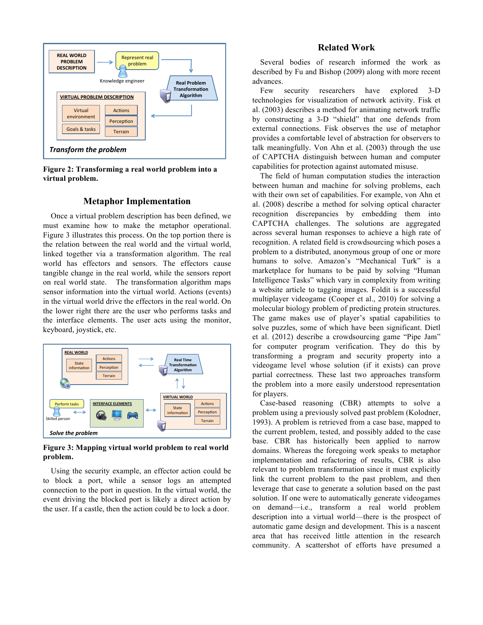

**Figure 2: Transforming a real world problem into a virtual problem.**

#### **Metaphor Implementation**

Once a virtual problem description has been defined, we must examine how to make the metaphor operational. Figure 3 illustrates this process. On the top portion there is the relation between the real world and the virtual world, linked together via a transformation algorithm. The real world has effectors and sensors. The effectors cause tangible change in the real world, while the sensors report on real world state. The transformation algorithm maps sensor information into the virtual world. Actions (events) in the virtual world drive the effectors in the real world. On the lower right there are the user who performs tasks and the interface elements. The user acts using the monitor, keyboard, joystick, etc.



**Figure 3: Mapping virtual world problem to real world problem.**

Using the security example, an effector action could be to block a port, while a sensor logs an attempted connection to the port in question. In the virtual world, the event driving the blocked port is likely a direct action by the user. If a castle, then the action could be to lock a door.

#### **Related Work**

Several bodies of research informed the work as described by Fu and Bishop (2009) along with more recent advances.

Few security researchers have explored 3-D technologies for visualization of network activity. Fisk et al. (2003) describes a method for animating network traffic by constructing a 3-D "shield" that one defends from external connections. Fisk observes the use of metaphor provides a comfortable level of abstraction for observers to talk meaningfully. Von Ahn et al. (2003) through the use of CAPTCHA distinguish between human and computer capabilities for protection against automated misuse.

The field of human computation studies the interaction between human and machine for solving problems, each with their own set of capabilities. For example, von Ahn et al. (2008) describe a method for solving optical character recognition discrepancies by embedding them into CAPTCHA challenges. The solutions are aggregated across several human responses to achieve a high rate of recognition. A related field is crowdsourcing which poses a problem to a distributed, anonymous group of one or more humans to solve. Amazon's "Mechanical Turk" is a marketplace for humans to be paid by solving "Human Intelligence Tasks" which vary in complexity from writing a website article to tagging images. Foldit is a successful multiplayer videogame (Cooper et al., 2010) for solving a molecular biology problem of predicting protein structures. The game makes use of player's spatial capabilities to solve puzzles, some of which have been significant. Dietl et al. (2012) describe a crowdsourcing game "Pipe Jam" for computer program verification. They do this by transforming a program and security property into a videogame level whose solution (if it exists) can prove partial correctness. These last two approaches transform the problem into a more easily understood representation for players.

Case-based reasoning (CBR) attempts to solve a problem using a previously solved past problem (Kolodner, 1993). A problem is retrieved from a case base, mapped to the current problem, tested, and possibly added to the case base. CBR has historically been applied to narrow domains. Whereas the foregoing work speaks to metaphor implementation and refactoring of results, CBR is also relevant to problem transformation since it must explicitly link the current problem to the past problem, and then leverage that case to generate a solution based on the past solution. If one were to automatically generate videogames on demand—i.e., transform a real world problem description into a virtual world—there is the prospect of automatic game design and development. This is a nascent area that has received little attention in the research community. A scattershot of efforts have presumed a